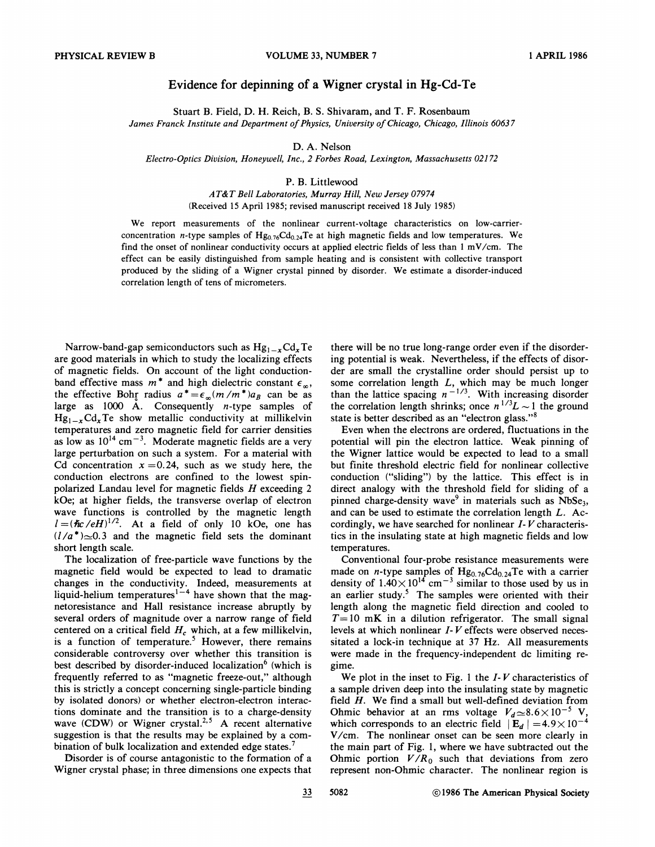## Evidence for depinning of a Wigner crystal in Hg-Cd-Te

Stuart B.Field, D. H. Reich, B.S. Shivaram, and T. F. Rosenbaum James Franck Institute and Department of Physics, University of Chicago, Chicago, Illinois 60637

D. A. Nelson

Electro-Optics Division, Honeywell, Inc., 2 Forbes Road, Lexington, Massachusetts 02172

## P. B. Littlewood

AT&T Bell Laboratories, Murray Hill, New Jersey 07974 (Received 15 April 1985; revised manuscript received 18 July 1985)

We report measurements of the nonlinear current-voltage characteristics on low-carrierconcentration n-type samples of  $Hg_{0.76}Cd_{0.24}Te$  at high magnetic fields and low temperatures. We find the onset of nonlinear conductivity occurs at applied electric fields of less than <sup>1</sup> mV/cm. The effect can be easily distinguished from sample heating and is consistent with collective transport produced by the sliding of a Wigner crystal pinned by disorder. We estimate a disorder-induced correlation length of tens of micrometers.

Narrow-band-gap semiconductors such as  $Hg_{1-x}Cd_xTe$ are good materials in which to study the localizing effects of magnetic fields. On account of the light conductionband effective mass  $m^*$  and high dielectric constant  $\epsilon_{\infty}$ , the effective Bohr radius  $a^* = \epsilon_\infty (m/m^*) a_B$  can be as large as 1000  $\AA$ . Consequently *n*-type samples of  $Hg_{1-x}Cd_xTe$  show metallic conductivity at millikelvin temperatures and zero magnetic field for carrier densities as low as  $10^{14}$  cm<sup>-3</sup>. Moderate magnetic fields are a very large perturbation on such a system. For a material with Cd concentration  $x = 0.24$ , such as we study here, the conduction electrons are confined to the lowest spinpolarized Landau level for magnetic fields H exceeding 2 kOe; at higher fields, the transverse overlap of electron wave functions is controlled by the magnetic length  $l = (\hbar c / eH)^{1/2}$ . At a field of only 10 kOe, one has  $(1/a^*)\approx 0.3$  and the magnetic field sets the dominant short length scale.

The localization of free-particle wave functions by the magnetic field would be expected to lead to dramatic changes in the conductivity. Indeed, measurements at liquid-helium temperatures<sup>1-4</sup> have shown that the magnetoresistance and Hall resistance increase abruptly by several orders of magnitude over a narrow range of field centered on a critical field  $H_c$  which, at a few millikelvin, is a function of temperature.<sup>5</sup> However, there remains considerable controversy over whether this transition is best described by disorder-induced localization<sup>6</sup> (which is frequently referred to as "magnetic freeze-out," although this is strictly a concept concerning single-particle binding by isolated donors) or whether electron-electron interactions dominate and the transition is to a charge-density wave  $(CDW)$  or Wigner crystal.<sup>2,5</sup> A recent alternative suggestion is that the results may be explained by a combination of bulk localization and extended edge states.<sup>7</sup>

Disorder is of course antagonistic to the formation of a Wigner crystal phase; in three dimensions one expects that

there will be no true long-range order even if the disordering potential is weak. Nevertheless, if the effects of disorder are small the crystalline order should persist up to some correlation length  $L$ , which may be much longer than the lattice spacing  $n^{-1/3}$ . With increasing disorder the correlation length shrinks; once  $n^{1/3}L \sim 1$  the ground state is better described as an "electron glass."<sup>8</sup>

Even when the electrons are ordered, fiuctuations in the potential will pin the electron lattice. Weak pinning of the Wigner lattice would be expected to lead to a small but finite threshold electric field for nonlinear collective conduction ("sliding") by the lattice. This effect is in direct analogy with the threshold field for sliding of a pinned charge-density wave<sup>9</sup> in materials such as NbSe<sub>3</sub>, and can be used to estimate the correlation length  $L$ . Accordingly, we have searched for nonlinear  $I-V$  characteristics in the insulating state at high magnetic fields and low temperatures.

Conventional four-probe resistance measurements were made on *n*-type samples of  $Hg_{0.76}Cd_{0.24}Te$  with a carrier density of  $1.40 \times 10^{14}$  cm<sup>-3</sup> similar to those used by us in an earlier study.<sup>5</sup> The samples were oriented with their length along the magnetic field direction and cooled to  $T=10$  mK in a dilution refrigerator. The small signal levels at which nonlinear I- V effects were observed necessitated a lock-in technique at 37 Hz. All measurements were made in the frequency-independent dc limiting regime.

We plot in the inset to Fig. 1 the  $I-V$  characteristics of a sample driven deep into the insulating state by magnetic field H. We find a small but well-defined deviation from Ohmic behavior at an rms voltage  $V_d \approx 8.6 \times 10^{-5}$  V, which corresponds to an electric field  $|\mathbf{E}_d| = 4.9 \times 10^{-4}$ V/cm. The nonlinear onset can be seen more clearly in the main part of Fig. 1, where we have subtracted out the Ohmic portion  $V/R_0$  such that deviations from zero represent non-Ohmic character. The nonlinear region is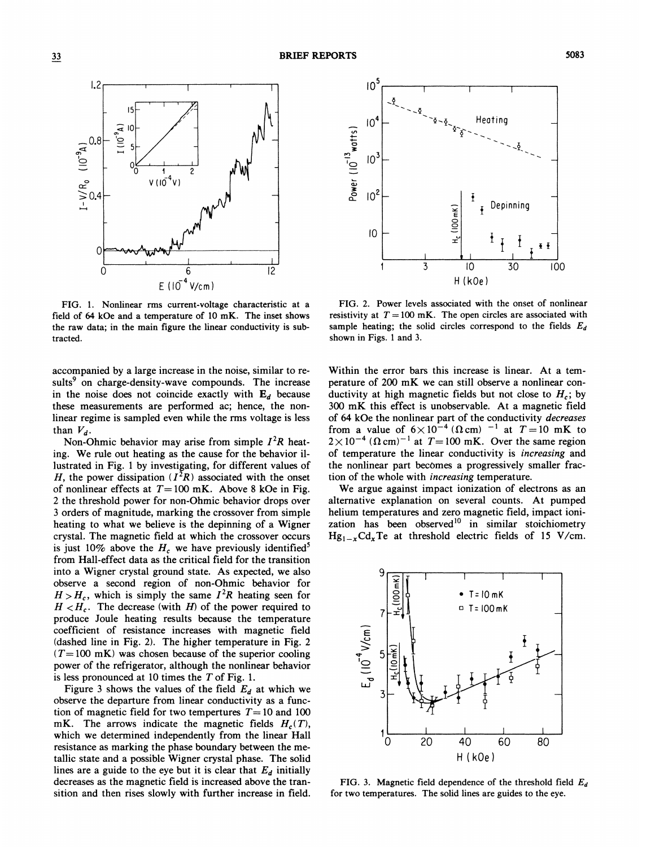

FIG. 1. Nonlinear rms current-voltage characteristic at a field of 64 kOe and a temperature of 10 mK. The inset shows the raw data; in the main figure the linear conductivity is subtracted.

accompanied by a large increase in the noise, similar to results<sup>9</sup> on charge-density-wave compounds. The increase in the noise does not coincide exactly with  $E_d$  because these measurements are performed ac; hence, the nonlinear regime is sampled even while the rms voltage is less than  $V_d$ .

Non-Ohmic behavior may arise from simple  $I^2R$  heating. We rule out heating as the cause for the behavior illustrated in Fig. <sup>1</sup> by investigating, for different values of H, the power dissipation  $(I^2R)$  associated with the onset of nonlinear effects at  $T=100$  mK. Above 8 kOe in Fig. 2 the threshold power for non-Ohmic behavior drops over 3 orders of magnitude, marking the crossover from simple heating to what we believe is the depinning of a Wigner crystal. The magnetic field at which the crossover occurs is just 10% above the  $H_c$  we have previously identified<sup>5</sup> from Hall-effect data as the critical field for the transition into a Wigner crystal ground state. As expected, we also observe a second region of non-Ohmic behavior for  $H > H<sub>c</sub>$ , which is simply the same  $I<sup>2</sup>R$  heating seen for  $H < H<sub>c</sub>$ . The decrease (with H) of the power required to produce Joule heating results because the temperature coefficient of resistance increases with magnetic field (dashed line in Fig. 2). The higher temperature in Fig. 2  $(T=100 \text{ mK})$  was chosen because of the superior cooling power of the refrigerator, although the nonlinear behavior is less pronounced at 10 times the  $T$  of Fig. 1.

Figure 3 shows the values of the field  $E<sub>d</sub>$  at which we observe the departure from linear conductivity as a function of magnetic field for two tempertures  $T=10$  and 100 mK. The arrows indicate the magnetic fields  $H_c(T)$ , which we determined independently from the linear Hall resistance as marking the phase boundary between the metallic state and a possible Wigner crystal phase. The solid lines are a guide to the eye but it is clear that  $E_d$  initially decreases as the magnetic field is increased above the transition and then rises slowly with further increase in field.



FIG. 2. Power levels associated with the onset of nonlinear resistivity at  $T = 100$  mK. The open circles are associated with sample heating; the solid circles correspond to the fields  $E_d$ shown in Figs. <sup>1</sup> and 3.

Within the error bars this increase is linear. At a temperature of 200 mK we can still observe a nonlinear conductivity at high magnetic fields but not close to  $H_c$ ; by 300 mK this effect is unobservable. At a magnetic field of 64 kOe the nonlinear part of the conductivity decreases from a value of  $6 \times 10^{-4}$  ( $\Omega$ cm) <sup>-1</sup> at  $T = 10$  mK to  $2 \times 10^{-4}$  ( $\Omega$  cm)<sup>-1</sup> at  $T=100$  mK. Over the same region of temperature the linear conductivity is increasing and the nonlinear part becomes a progressively smaller fraction of the whole with increasing temperature.

We argue against impact ionization of electrons as an alternative explanation on several counts. At pumped helium temperatures and zero magnetic field, impact ionization has been observed<sup>10</sup> in similar stoichiometry  $Hg_{1-x}Cd_xTe$  at threshold electric fields of 15 V/cm.



FIG. 3. Magnetic field dependence of the threshold field  $E_d$ for two temperatures. The solid lines are guides to the eye.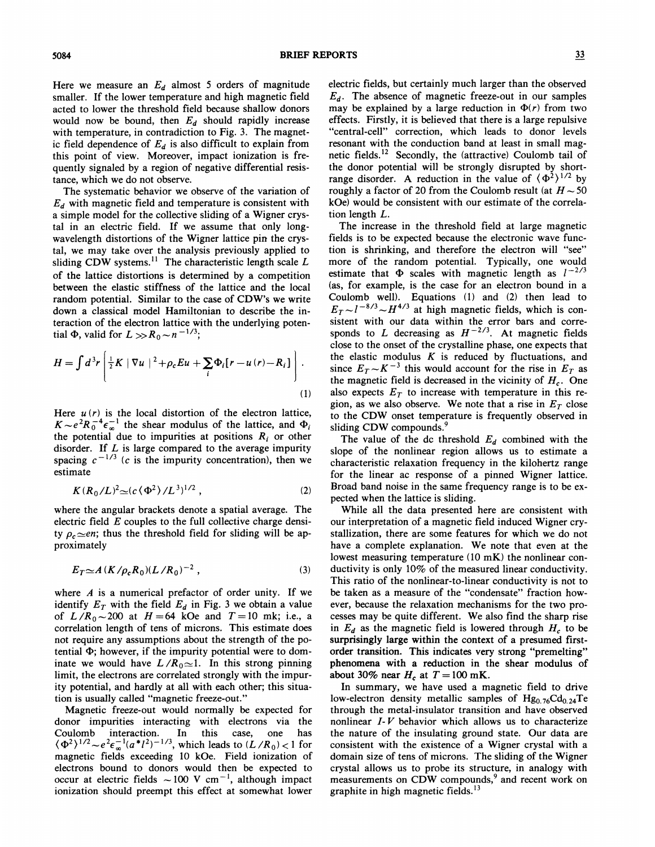Here we measure an  $E_d$  almost 5 orders of magnitude smaller. If the lower temperature and high magnetic field acted to lower the threshold field because shallow donors would now be bound, then  $E_d$  should rapidly increase with temperature, in contradiction to Fig. 3. The magnetic field dependence of  $E_d$  is also difficult to explain from this point of view. Moreover, impact ionization is frequently signaled by a region of negative differential resistance, which we do not observe.

The systematic behavior we observe of the variation of  $E<sub>d</sub>$  with magnetic field and temperature is consistent with a simple model for the collective sliding of a Wigner crystal in an electric field. If we assume that only longwavelength distortions of the Wigner lattice pin the crystal, we may take over the analysis previously applied to sliding CDW systems.<sup>11</sup> The characteristic length scale L sliding CDW systems.<sup>11</sup> The characteristic length scale  $L$ of the lattice distortions is determined by a competition between the elastic stiffness of the lattice and the local random potential. Similar to the case of CDW's we write down a classical model Hamiltonian to describe the interaction of the electron lattice with the underlying potential  $\Phi$ , valid for  $L >> R_0 \sim n^{-1/3}$ ;

$$
H = \int d^3r \left[ \frac{1}{2} K \left| \nabla u \right|^{2} + \rho_{c} E u + \sum_{i} \Phi_{i} [r - u(r) - R_{i}] \right].
$$
\n(1)

r

Here  $u(r)$  is the local distortion of the electron lattice,  $K \sim e^2 R_0^{-4} \epsilon_{\infty}^{-1}$  the shear modulus of the lattice, and  $\Phi_i$ the potential due to impurities at positions  $R_i$  or other disorder. If  $L$  is large compared to the average impurit spacing  $c^{-1/3}$  (c is the impurity concentration), then we estimate

$$
K(R_0/L)^2 {\simeq} (c \langle \Phi^2 \rangle / L^{3})^{1/2} , \qquad (2)
$$

where the angular brackets denote a spatial average. The electric field  $E$  couples to the full collective charge density  $\rho_c \simeq en$ ; thus the threshold field for sliding will be approximately

$$
E_T \simeq A \left( \frac{K}{\rho_c R_0} \right) \left( \frac{L}{R_0} \right)^{-2},\tag{3}
$$

where  $A$  is a numerical prefactor of order unity. If we identify  $E_T$  with the field  $E_d$  in Fig. 3 we obtain a value of  $L/R_0 \sim 200$  at  $H = 64$  kOe and  $T = 10$  mk; i.e., a correlation length of tens of microns. This estimate does not require any assumptions about the strength of the potential  $\Phi$ ; however, if the impurity potential were to dominate we would have  $L/R_0 \approx 1$ . In this strong pinning limit, the electrons are correlated strongly with the impurity potential, and hardly at all with each other; this situation is usually called "magnetic freeze-out. "

Magnetic freeze-out would normally be expected for donor impurities interacting with electrons via the Coulomb interaction. In this case, one has<br>  $(\Phi^2)^{1/2} \sim e^2 \epsilon_{\infty}^{-1} (a^*l^2)^{-1/3}$ , which leads to  $(L/R_0) < 1$  for magnetic fields exceeding 10 kOe. Field ionization of electrons bound to donors would then be expected to occur at electric fields  $\sim$  100 V cm<sup>-1</sup>, although impact ionization should preempt this effect at somewhat lower

electric fields, but certainly much larger than the observed  $E_d$ . The absence of magnetic freeze-out in our samples may be explained by a large reduction in  $\Phi(r)$  from two effects. Firstly, it is believed that there is a large repulsive "central-cell" correction, which leads to donor levels resonant with the conduction band at least in small magnetic fields.<sup>12</sup> Secondly, the (attractive) Coulomb tail of the donor potential will be strongly disrupted by shortrange disorder. A reduction in the value of  $\langle \Phi^2 \rangle^{1/2}$  by roughly a factor of 20 from the Coulomb result (at  $H \sim 50$ kOe) would be consistent with our estimate of the correlation length L.

The increase in the threshold field at large magnetic fields is to be expected because the electronic wave function is shrinking, and therefore the electron will "see" more of the random potential. Typically, one would estimate that  $\Phi$  scales with magnetic length as  $1^{-2/3}$ (as, for example, is the case for an electron bound in a Coulomb well). Equations (1) and (2) then lead to  $E_T \sim l^{-8/3} \sim H^{4/3}$  at high magnetic fields, which is consistent with our data within the error bars and corresponds to L decreasing as  $H^{-2/3}$ . At magnetic fields close to the onset of the crystalline phase, one expects that the elastic modulus  $K$  is reduced by fluctuations, and since  $E_T \sim K^{-3}$  this would account for the rise in  $E_T$  as the magnetic field is decreased in the vicinity of  $H_c$ . One also expects  $E<sub>T</sub>$  to increase with temperature in this region, as we also observe. We note that a rise in  $E<sub>T</sub>$  close to the CDW onset temperature is frequently observed in sliding CDW compounds.<sup>9</sup>

The value of the dc threshold  $E_d$  combined with the slope of the nonlinear region allows us to estimate a characteristic relaxation frequency in the kilohertz range for the linear ac response of a pinned Wigner lattice. Broad band noise in the same frequency range is to be expected when the lattice is sliding.

While all the data presented here are consistent with our interpretation of a magnetic field induced Wigner crystallization, there are some features for which we do not have a complete explanation. We note that even at the lowest measuring temperature (10 mK) the nonlinear conductivity is only 10% of the measured linear conductivity. This ratio of the nonlinear-to-linear conductivity is not to be taken as a measure of the "condensate" fraction however, because the relaxation mechanisms for the two processes may be quite different. We also find the sharp rise in  $E_d$  as the magnetic field is lowered through  $H_c$  to be surprisingly large within the context of a presumed firstorder transition. This indicates very strong "premelting" phenomena with a reduction in the shear modulus of about 30% near  $H_c$  at  $T = 100$  mK.

In summary, we have used a magnetic field to drive low-electron density metallic samples of  $Hg_{0.76}Cd_{0.24}Te$ through the metal-insulator transition and have observed nonlinear  $I-V$  behavior which allows us to characterize the nature of the insulating ground state. Our data are consistent with the existence of a Wigner crystal with a domain size of tens of microns. The sliding of the Wigner crystal allows us to probe its structure, in analogy with measurements on CDW compounds,<sup>9</sup> and recent work on graphite in high magnetic fields.<sup>13</sup>